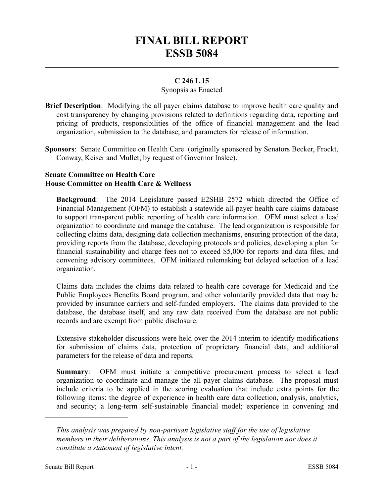# **FINAL BILL REPORT ESSB 5084**

# **C 246 L 15**

## Synopsis as Enacted

- **Brief Description**: Modifying the all payer claims database to improve health care quality and cost transparency by changing provisions related to definitions regarding data, reporting and pricing of products, responsibilities of the office of financial management and the lead organization, submission to the database, and parameters for release of information.
- **Sponsors**: Senate Committee on Health Care (originally sponsored by Senators Becker, Frockt, Conway, Keiser and Mullet; by request of Governor Inslee).

### **Senate Committee on Health Care House Committee on Health Care & Wellness**

**Background**: The 2014 Legislature passed E2SHB 2572 which directed the Office of Financial Management (OFM) to establish a statewide all-payer health care claims database to support transparent public reporting of health care information. OFM must select a lead organization to coordinate and manage the database. The lead organization is responsible for collecting claims data, designing data collection mechanisms, ensuring protection of the data, providing reports from the database, developing protocols and policies, developing a plan for financial sustainability and charge fees not to exceed \$5,000 for reports and data files, and convening advisory committees. OFM initiated rulemaking but delayed selection of a lead organization.

Claims data includes the claims data related to health care coverage for Medicaid and the Public Employees Benefits Board program, and other voluntarily provided data that may be provided by insurance carriers and self-funded employers. The claims data provided to the database, the database itself, and any raw data received from the database are not public records and are exempt from public disclosure.

Extensive stakeholder discussions were held over the 2014 interim to identify modifications for submission of claims data, protection of proprietary financial data, and additional parameters for the release of data and reports.

**Summary:** OFM must initiate a competitive procurement process to select a lead organization to coordinate and manage the all-payer claims database. The proposal must include criteria to be applied in the scoring evaluation that include extra points for the following items: the degree of experience in health care data collection, analysis, analytics, and security; a long-term self-sustainable financial model; experience in convening and

––––––––––––––––––––––

*This analysis was prepared by non-partisan legislative staff for the use of legislative members in their deliberations. This analysis is not a part of the legislation nor does it constitute a statement of legislative intent.*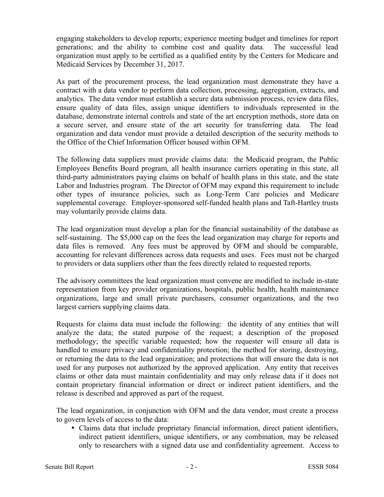engaging stakeholders to develop reports; experience meeting budget and timelines for report generations; and the ability to combine cost and quality data. The successful lead organization must apply to be certified as a qualified entity by the Centers for Medicare and Medicaid Services by December 31, 2017.

As part of the procurement process, the lead organization must demonstrate they have a contract with a data vendor to perform data collection, processing, aggregation, extracts, and analytics. The data vendor must establish a secure data submission process, review data files, ensure quality of data files, assign unique identifiers to individuals represented in the database, demonstrate internal controls and state of the art encryption methods, store data on a secure server, and ensure state of the art security for transferring data. The lead organization and data vendor must provide a detailed description of the security methods to the Office of the Chief Information Officer housed within OFM.

The following data suppliers must provide claims data: the Medicaid program, the Public Employees Benefits Board program, all health insurance carriers operating in this state, all third-party administrators paying claims on behalf of health plans in this state, and the state Labor and Industries program. The Director of OFM may expand this requirement to include other types of insurance policies, such as Long-Term Care policies and Medicare supplemental coverage. Employer-sponsored self-funded health plans and Taft-Hartley trusts may voluntarily provide claims data.

The lead organization must develop a plan for the financial sustainability of the database as self-sustaining. The \$5,000 cap on the fees the lead organization may charge for reports and data files is removed. Any fees must be approved by OFM and should be comparable, accounting for relevant differences across data requests and uses. Fees must not be charged to providers or data suppliers other than the fees directly related to requested reports.

The advisory committees the lead organization must convene are modified to include in-state representation from key provider organizations, hospitals, public health, health maintenance organizations, large and small private purchasers, consumer organizations, and the two largest carriers supplying claims data.

Requests for claims data must include the following: the identity of any entities that will analyze the data; the stated purpose of the request; a description of the proposed methodology; the specific variable requested; how the requester will ensure all data is handled to ensure privacy and confidentiality protection; the method for storing, destroying, or returning the data to the lead organization; and protections that will ensure the data is not used for any purposes not authorized by the approved application. Any entity that receives claims or other data must maintain confidentiality and may only release data if it does not contain proprietary financial information or direct or indirect patient identifiers, and the release is described and approved as part of the request.

The lead organization, in conjunction with OFM and the data vendor, must create a process to govern levels of access to the data:

 Claims data that include proprietary financial information, direct patient identifiers, indirect patient identifiers, unique identifiers, or any combination, may be released only to researchers with a signed data use and confidentiality agreement. Access to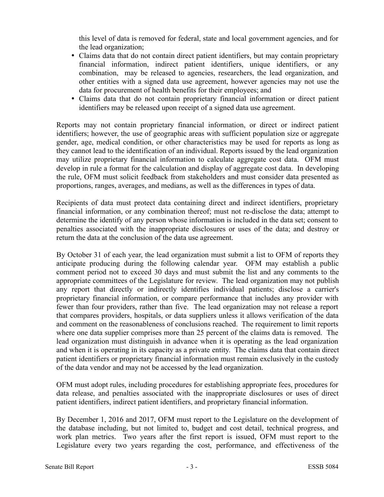this level of data is removed for federal, state and local government agencies, and for the lead organization;

- Claims data that do not contain direct patient identifiers, but may contain proprietary financial information, indirect patient identifiers, unique identifiers, or any combination, may be released to agencies, researchers, the lead organization, and other entities with a signed data use agreement, however agencies may not use the data for procurement of health benefits for their employees; and
- Claims data that do not contain proprietary financial information or direct patient identifiers may be released upon receipt of a signed data use agreement.

Reports may not contain proprietary financial information, or direct or indirect patient identifiers; however, the use of geographic areas with sufficient population size or aggregate gender, age, medical condition, or other characteristics may be used for reports as long as they cannot lead to the identification of an individual. Reports issued by the lead organization may utilize proprietary financial information to calculate aggregate cost data. OFM must develop in rule a format for the calculation and display of aggregate cost data. In developing the rule, OFM must solicit feedback from stakeholders and must consider data presented as proportions, ranges, averages, and medians, as well as the differences in types of data.

Recipients of data must protect data containing direct and indirect identifiers, proprietary financial information, or any combination thereof; must not re-disclose the data; attempt to determine the identify of any person whose information is included in the data set; consent to penalties associated with the inappropriate disclosures or uses of the data; and destroy or return the data at the conclusion of the data use agreement.

By October 31 of each year, the lead organization must submit a list to OFM of reports they anticipate producing during the following calendar year. OFM may establish a public comment period not to exceed 30 days and must submit the list and any comments to the appropriate committees of the Legislature for review. The lead organization may not publish any report that directly or indirectly identifies individual patients; disclose a carrier's proprietary financial information, or compare performance that includes any provider with fewer than four providers, rather than five. The lead organization may not release a report that compares providers, hospitals, or data suppliers unless it allows verification of the data and comment on the reasonableness of conclusions reached. The requirement to limit reports where one data supplier comprises more than 25 percent of the claims data is removed. The lead organization must distinguish in advance when it is operating as the lead organization and when it is operating in its capacity as a private entity. The claims data that contain direct patient identifiers or proprietary financial information must remain exclusively in the custody of the data vendor and may not be accessed by the lead organization.

OFM must adopt rules, including procedures for establishing appropriate fees, procedures for data release, and penalties associated with the inappropriate disclosures or uses of direct patient identifiers, indirect patient identifiers, and proprietary financial information.

By December 1, 2016 and 2017, OFM must report to the Legislature on the development of the database including, but not limited to, budget and cost detail, technical progress, and work plan metrics. Two years after the first report is issued, OFM must report to the Legislature every two years regarding the cost, performance, and effectiveness of the